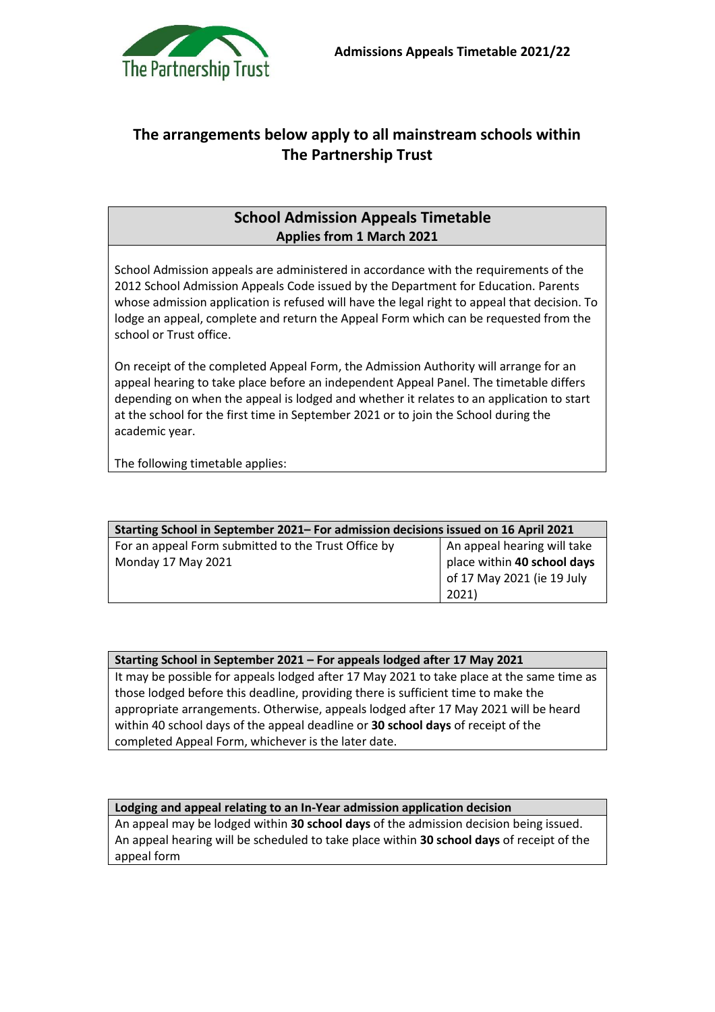

## **The arrangements below apply to all mainstream schools within The Partnership Trust**

## **School Admission Appeals Timetable Applies from 1 March 2021**

School Admission appeals are administered in accordance with the requirements of the 2012 School Admission Appeals Code issued by the Department for Education. Parents whose admission application is refused will have the legal right to appeal that decision. To lodge an appeal, complete and return the Appeal Form which can be requested from the school or Trust office.

On receipt of the completed Appeal Form, the Admission Authority will arrange for an appeal hearing to take place before an independent Appeal Panel. The timetable differs depending on when the appeal is lodged and whether it relates to an application to start at the school for the first time in September 2021 or to join the School during the academic year.

The following timetable applies:

| Starting School in September 2021– For admission decisions issued on 16 April 2021 |                             |
|------------------------------------------------------------------------------------|-----------------------------|
| For an appeal Form submitted to the Trust Office by                                | An appeal hearing will take |
| Monday 17 May 2021                                                                 | place within 40 school days |
|                                                                                    | of 17 May 2021 (ie 19 July  |
|                                                                                    | 2021)                       |

## **Starting School in September 2021 – For appeals lodged after 17 May 2021**

It may be possible for appeals lodged after 17 May 2021 to take place at the same time as those lodged before this deadline, providing there is sufficient time to make the appropriate arrangements. Otherwise, appeals lodged after 17 May 2021 will be heard within 40 school days of the appeal deadline or **30 school days** of receipt of the completed Appeal Form, whichever is the later date.

## **Lodging and appeal relating to an In-Year admission application decision**

An appeal may be lodged within **30 school days** of the admission decision being issued. An appeal hearing will be scheduled to take place within **30 school days** of receipt of the appeal form